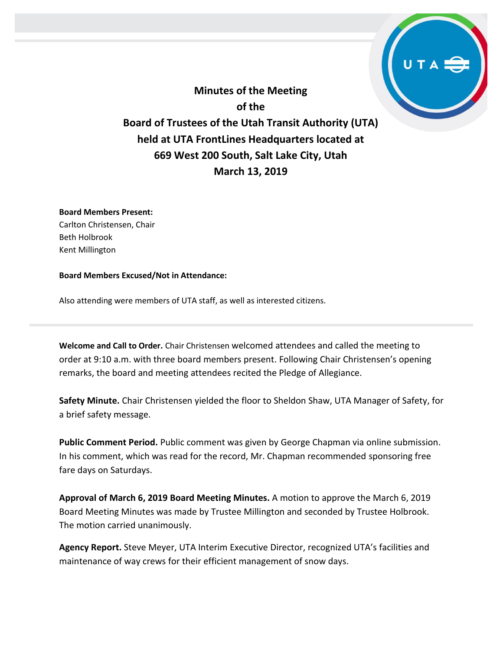**Minutes of the Meeting of the Board of Trustees of the Utah Transit Authority (UTA) held at UTA FrontLines Headquarters located at 669 West 200 South, Salt Lake City, Utah March 13, 2019**

## **Board Members Present:**

Carlton Christensen, Chair Beth Holbrook Kent Millington

## **Board Members Excused/Not in Attendance:**

Also attending were members of UTA staff, as well as interested citizens.

**Welcome and Call to Order.** Chair Christensen welcomed attendees and called the meeting to order at 9:10 a.m. with three board members present. Following Chair Christensen's opening remarks, the board and meeting attendees recited the Pledge of Allegiance.

**Safety Minute.** Chair Christensen yielded the floor to Sheldon Shaw, UTA Manager of Safety, for a brief safety message.

**Public Comment Period.** Public comment was given by George Chapman via online submission. In his comment, which was read for the record, Mr. Chapman recommended sponsoring free fare days on Saturdays.

**Approval of March 6, 2019 Board Meeting Minutes.** A motion to approve the March 6, 2019 Board Meeting Minutes was made by Trustee Millington and seconded by Trustee Holbrook. The motion carried unanimously.

**Agency Report.** Steve Meyer, UTA Interim Executive Director, recognized UTA's facilities and maintenance of way crews for their efficient management of snow days.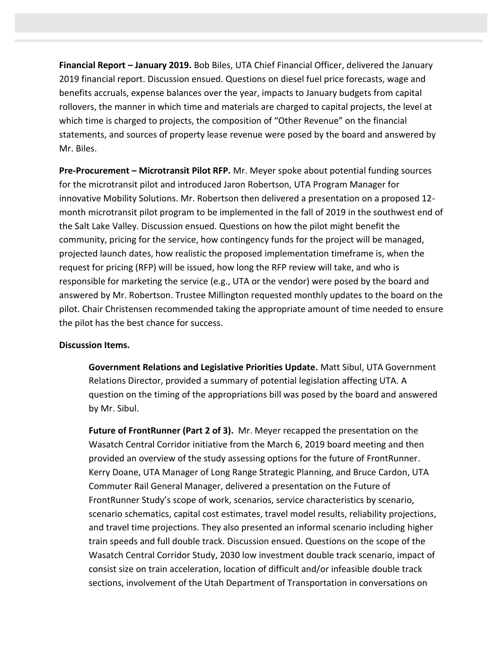**Financial Report – January 2019.** Bob Biles, UTA Chief Financial Officer, delivered the January 2019 financial report. Discussion ensued. Questions on diesel fuel price forecasts, wage and benefits accruals, expense balances over the year, impacts to January budgets from capital rollovers, the manner in which time and materials are charged to capital projects, the level at which time is charged to projects, the composition of "Other Revenue" on the financial statements, and sources of property lease revenue were posed by the board and answered by Mr. Biles.

**Pre-Procurement – Microtransit Pilot RFP.** Mr. Meyer spoke about potential funding sources for the microtransit pilot and introduced Jaron Robertson, UTA Program Manager for innovative Mobility Solutions. Mr. Robertson then delivered a presentation on a proposed 12 month microtransit pilot program to be implemented in the fall of 2019 in the southwest end of the Salt Lake Valley. Discussion ensued. Questions on how the pilot might benefit the community, pricing for the service, how contingency funds for the project will be managed, projected launch dates, how realistic the proposed implementation timeframe is, when the request for pricing (RFP) will be issued, how long the RFP review will take, and who is responsible for marketing the service (e.g., UTA or the vendor) were posed by the board and answered by Mr. Robertson. Trustee Millington requested monthly updates to the board on the pilot. Chair Christensen recommended taking the appropriate amount of time needed to ensure the pilot has the best chance for success.

## **Discussion Items.**

**Government Relations and Legislative Priorities Update.** Matt Sibul, UTA Government Relations Director, provided a summary of potential legislation affecting UTA. A question on the timing of the appropriations bill was posed by the board and answered by Mr. Sibul.

**Future of FrontRunner (Part 2 of 3).** Mr. Meyer recapped the presentation on the Wasatch Central Corridor initiative from the March 6, 2019 board meeting and then provided an overview of the study assessing options for the future of FrontRunner. Kerry Doane, UTA Manager of Long Range Strategic Planning, and Bruce Cardon, UTA Commuter Rail General Manager, delivered a presentation on the Future of FrontRunner Study's scope of work, scenarios, service characteristics by scenario, scenario schematics, capital cost estimates, travel model results, reliability projections, and travel time projections. They also presented an informal scenario including higher train speeds and full double track. Discussion ensued. Questions on the scope of the Wasatch Central Corridor Study, 2030 low investment double track scenario, impact of consist size on train acceleration, location of difficult and/or infeasible double track sections, involvement of the Utah Department of Transportation in conversations on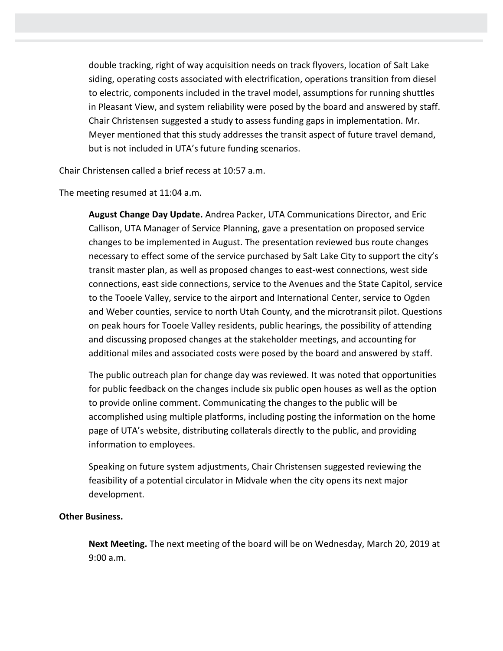double tracking, right of way acquisition needs on track flyovers, location of Salt Lake siding, operating costs associated with electrification, operations transition from diesel to electric, components included in the travel model, assumptions for running shuttles in Pleasant View, and system reliability were posed by the board and answered by staff. Chair Christensen suggested a study to assess funding gaps in implementation. Mr. Meyer mentioned that this study addresses the transit aspect of future travel demand, but is not included in UTA's future funding scenarios.

Chair Christensen called a brief recess at 10:57 a.m.

The meeting resumed at 11:04 a.m.

**August Change Day Update.** Andrea Packer, UTA Communications Director, and Eric Callison, UTA Manager of Service Planning, gave a presentation on proposed service changes to be implemented in August. The presentation reviewed bus route changes necessary to effect some of the service purchased by Salt Lake City to support the city's transit master plan, as well as proposed changes to east-west connections, west side connections, east side connections, service to the Avenues and the State Capitol, service to the Tooele Valley, service to the airport and International Center, service to Ogden and Weber counties, service to north Utah County, and the microtransit pilot. Questions on peak hours for Tooele Valley residents, public hearings, the possibility of attending and discussing proposed changes at the stakeholder meetings, and accounting for additional miles and associated costs were posed by the board and answered by staff.

The public outreach plan for change day was reviewed. It was noted that opportunities for public feedback on the changes include six public open houses as well as the option to provide online comment. Communicating the changes to the public will be accomplished using multiple platforms, including posting the information on the home page of UTA's website, distributing collaterals directly to the public, and providing information to employees.

Speaking on future system adjustments, Chair Christensen suggested reviewing the feasibility of a potential circulator in Midvale when the city opens its next major development.

## **Other Business.**

**Next Meeting.** The next meeting of the board will be on Wednesday, March 20, 2019 at 9:00 a.m.